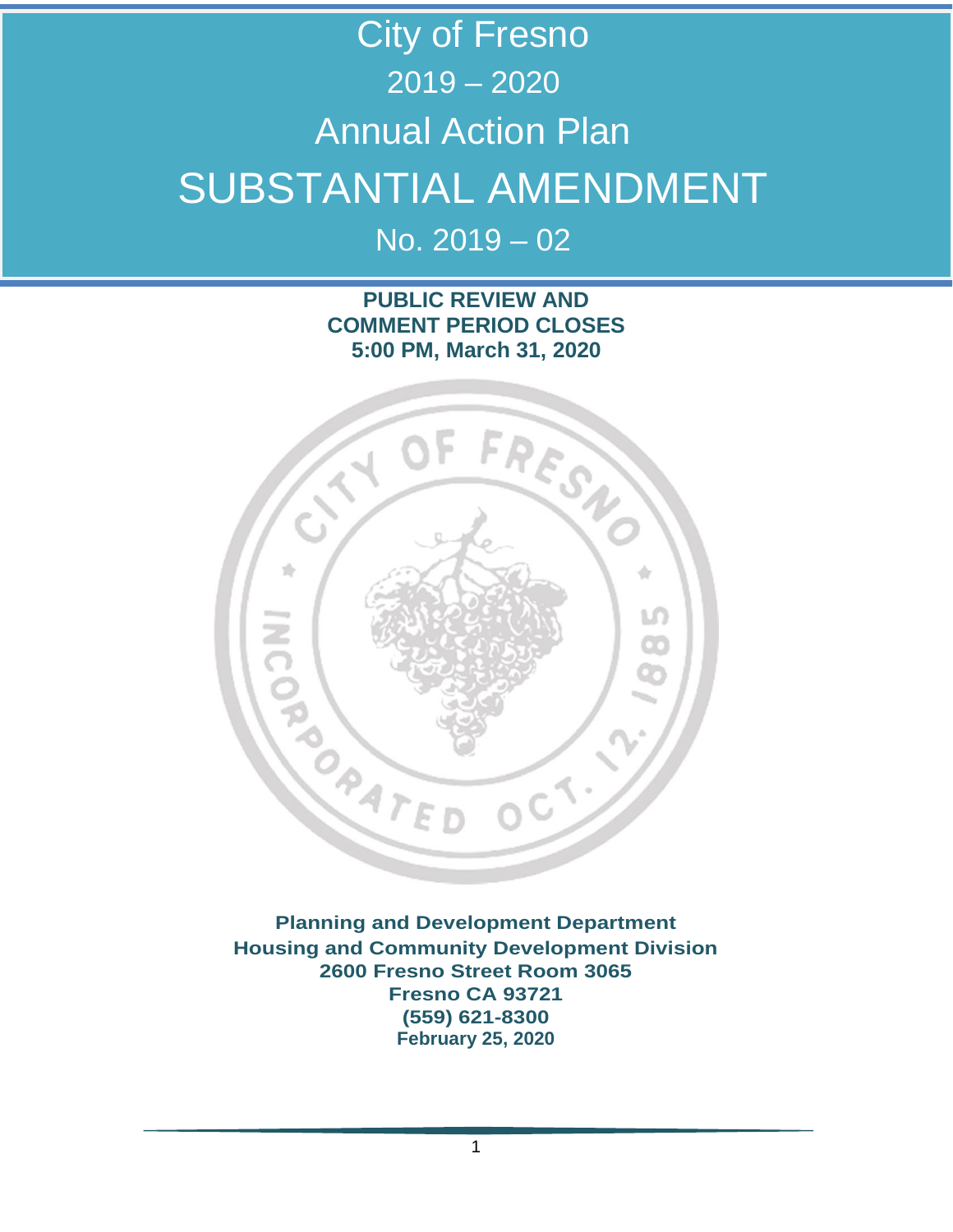# City of Fresno 2019 – 2020 Annual Action Plan SUBSTANTIAL AMENDMENT

 $No. 2019 - 02$ 

### **PUBLIC REVIEW AND COMMENT PERIOD CLOSES 5:00 PM, March 31, 2020**



**Planning and Development Department Housing and Community Development Division 2600 Fresno Street Room 3065 Fresno CA 93721 (559) 621-8300 February 25, 2020**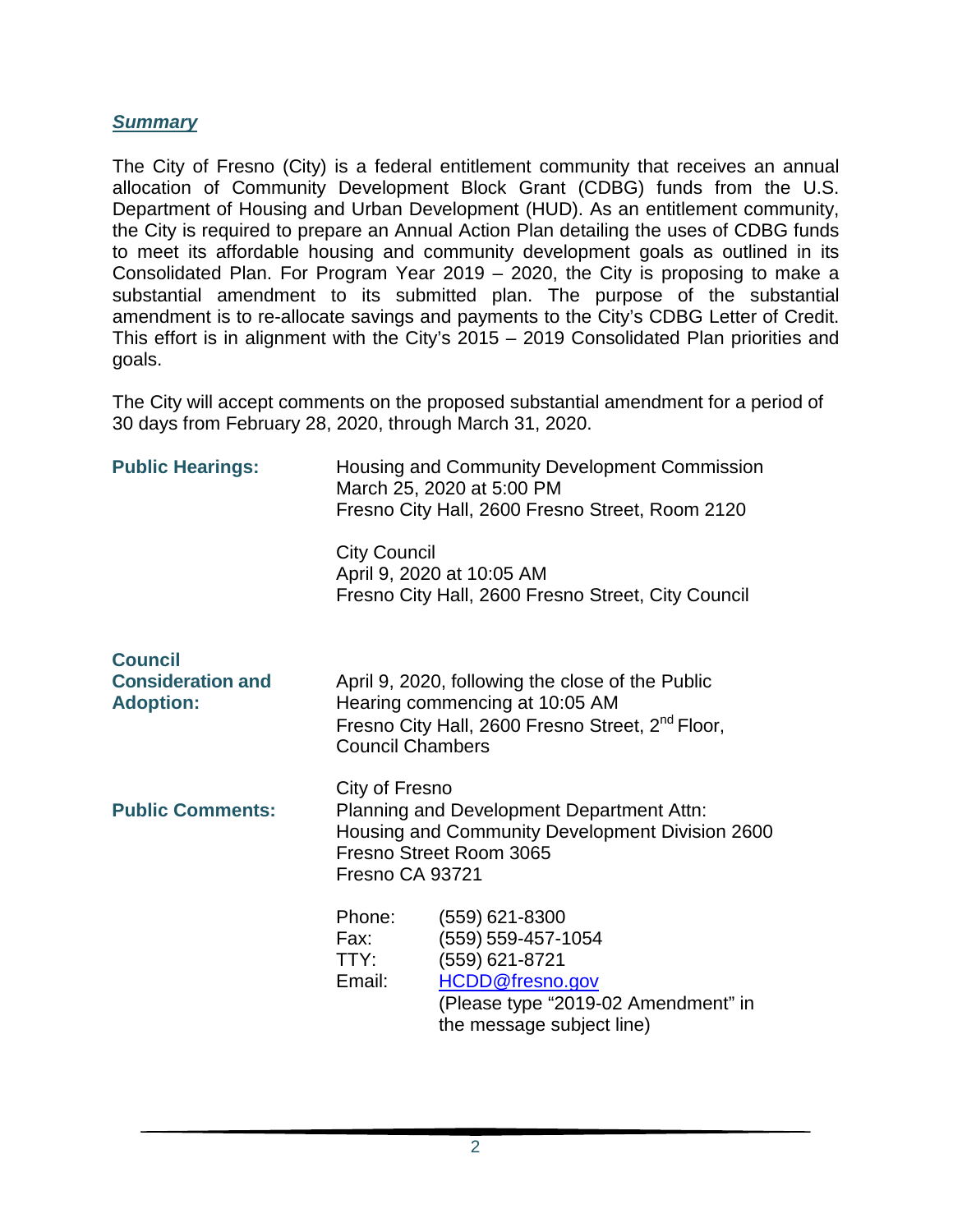#### *Summary*

The City of Fresno (City) is a federal entitlement community that receives an annual allocation of Community Development Block Grant (CDBG) funds from the U.S. Department of Housing and Urban Development (HUD). As an entitlement community, the City is required to prepare an Annual Action Plan detailing the uses of CDBG funds to meet its affordable housing and community development goals as outlined in its Consolidated Plan. For Program Year 2019 – 2020, the City is proposing to make a substantial amendment to its submitted plan. The purpose of the substantial amendment is to re-allocate savings and payments to the City's CDBG Letter of Credit. This effort is in alignment with the City's 2015 – 2019 Consolidated Plan priorities and goals.

The City will accept comments on the proposed substantial amendment for a period of 30 days from February 28, 2020, through March 31, 2020.

| <b>Public Hearings:</b>                                        | Housing and Community Development Commission<br>March 25, 2020 at 5:00 PM<br>Fresno City Hall, 2600 Fresno Street, Room 2120                                 |                                                                                                                                                        |  |
|----------------------------------------------------------------|--------------------------------------------------------------------------------------------------------------------------------------------------------------|--------------------------------------------------------------------------------------------------------------------------------------------------------|--|
|                                                                | <b>City Council</b><br>April 9, 2020 at 10:05 AM<br>Fresno City Hall, 2600 Fresno Street, City Council                                                       |                                                                                                                                                        |  |
| <b>Council</b><br><b>Consideration and</b><br><b>Adoption:</b> | <b>Council Chambers</b>                                                                                                                                      | April 9, 2020, following the close of the Public<br>Hearing commencing at 10:05 AM<br>Fresno City Hall, 2600 Fresno Street, 2 <sup>nd</sup> Floor,     |  |
| <b>Public Comments:</b>                                        | City of Fresno<br>Planning and Development Department Attn:<br>Housing and Community Development Division 2600<br>Fresno Street Room 3065<br>Fresno CA 93721 |                                                                                                                                                        |  |
|                                                                | Phone:<br>Fax:<br>TTY:<br>Email:                                                                                                                             | $(559)$ 621-8300<br>(559) 559-457-1054<br>(559) 621-8721<br><b>HCDD@fresno.gov</b><br>(Please type "2019-02 Amendment" in<br>the message subject line) |  |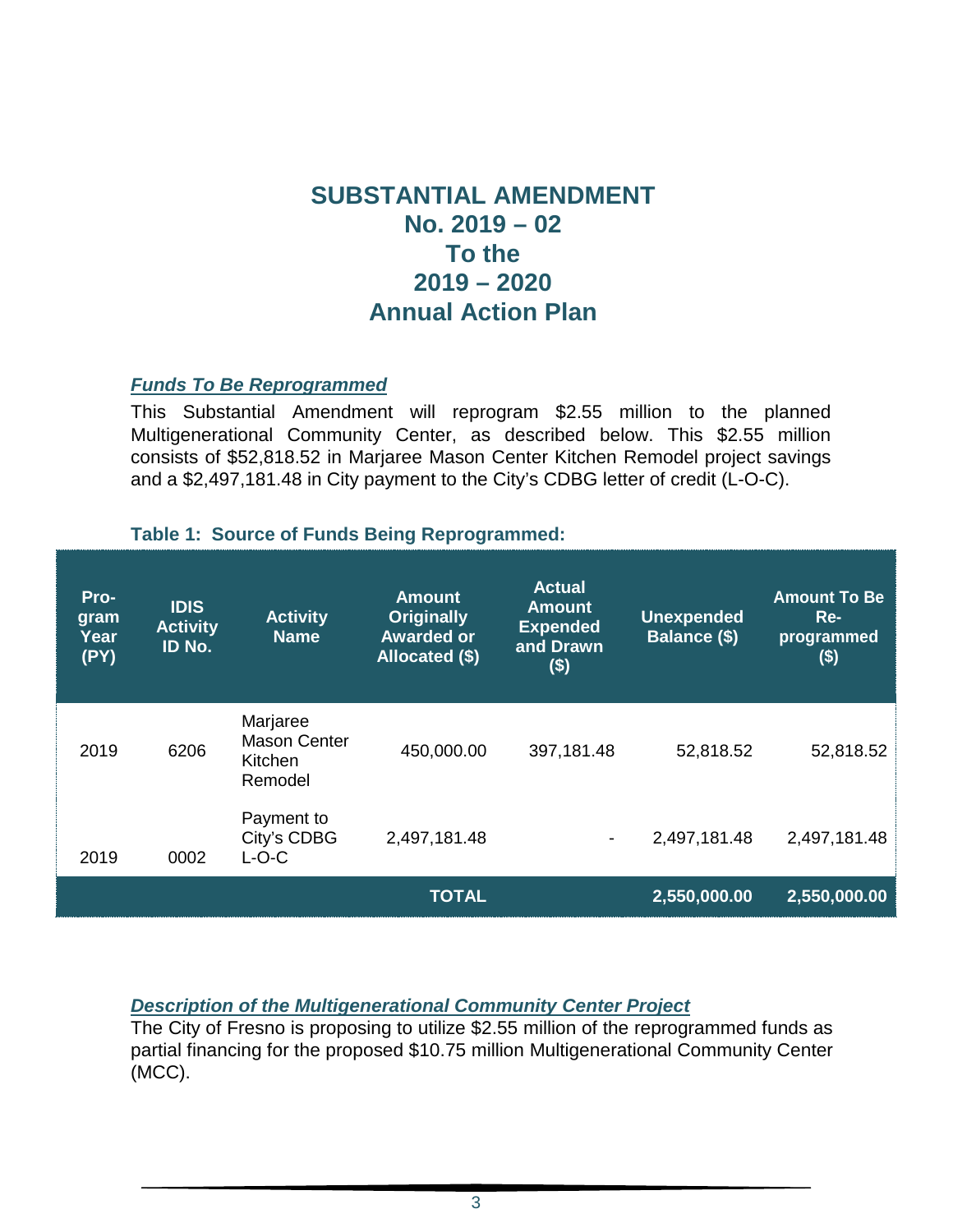# **SUBSTANTIAL AMENDMENT No. 2019 – 02 To the 2019 – 2020 Annual Action Plan**

#### *Funds To Be Reprogrammed*

This Substantial Amendment will reprogram \$2.55 million to the planned Multigenerational Community Center, as described below. This \$2.55 million consists of \$52,818.52 in Marjaree Mason Center Kitchen Remodel project savings and a \$2,497,181.48 in City payment to the City's CDBG letter of credit (L-O-C).

#### **Table 1: Source of Funds Being Reprogrammed:**

| Pro-<br>gram<br>Year<br>(PY) | <b>IDIS</b><br><b>Activity</b><br>ID No. | <b>Activity</b><br><b>Name</b>                               | <b>Amount</b><br><b>Originally</b><br><b>Awarded or</b><br>Allocated (\$) | <b>Actual</b><br><b>Amount</b><br><b>Expended</b><br>and Drawn<br>$($ \$) | <b>Unexpended</b><br>Balance (\$) | <b>Amount To Be</b><br>$Re-$<br>programmed<br>\$) |
|------------------------------|------------------------------------------|--------------------------------------------------------------|---------------------------------------------------------------------------|---------------------------------------------------------------------------|-----------------------------------|---------------------------------------------------|
| 2019                         | 6206                                     | Marjaree<br><b>Mason Center</b><br><b>Kitchen</b><br>Remodel | 450,000.00                                                                | 397,181.48                                                                | 52,818.52                         | 52,818.52                                         |
| 2019                         | 0002                                     | Payment to<br>City's CDBG<br>$L-O-C$                         | 2,497,181.48                                                              | $\overline{\phantom{a}}$                                                  | 2,497,181.48                      | 2,497,181.48                                      |
|                              |                                          |                                                              | <b>TOTAL</b>                                                              |                                                                           | 2,550,000.00                      | 2,550,000.00                                      |

#### *Description of the Multigenerational Community Center Project*

The City of Fresno is proposing to utilize \$2.55 million of the reprogrammed funds as partial financing for the proposed \$10.75 million Multigenerational Community Center (MCC).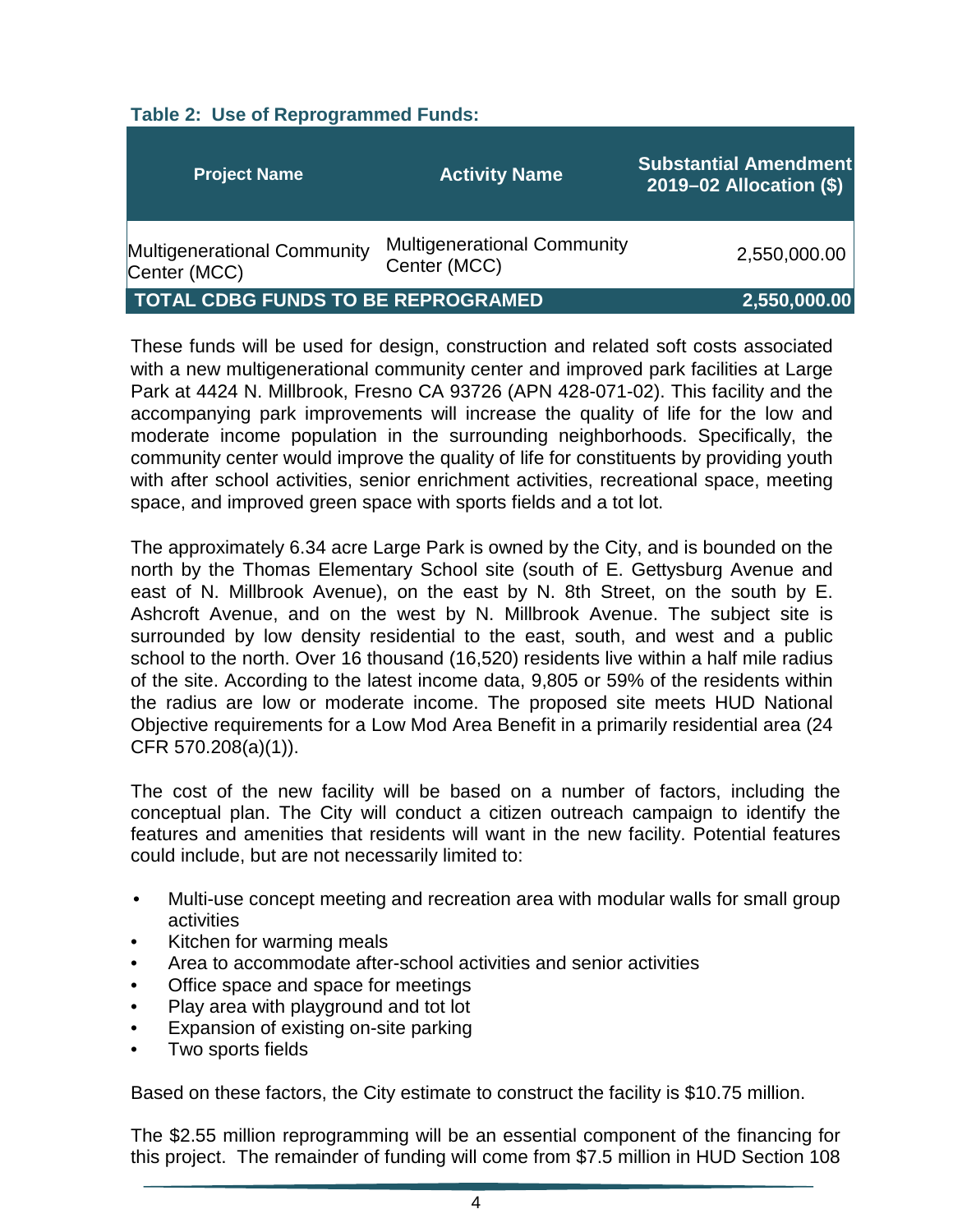#### **Table 2: Use of Reprogrammed Funds:**

| <b>Project Name</b>                         | <b>Activity Name</b>                               | <b>Substantial Amendment</b><br>$2019 - 02$ Allocation $(\$)$ |
|---------------------------------------------|----------------------------------------------------|---------------------------------------------------------------|
| Multigenerational Community<br>Center (MCC) | <b>Multigenerational Community</b><br>Center (MCC) | 2,550,000.00                                                  |
| <b>TOTAL CDBG FUNDS TO BE REPROGRAMED</b>   | 2,550,000.00                                       |                                                               |

These funds will be used for design, construction and related soft costs associated with a new multigenerational community center and improved park facilities at Large Park at 4424 N. Millbrook, Fresno CA 93726 (APN 428-071-02). This facility and the accompanying park improvements will increase the quality of life for the low and moderate income population in the surrounding neighborhoods. Specifically, the community center would improve the quality of life for constituents by providing youth with after school activities, senior enrichment activities, recreational space, meeting space, and improved green space with sports fields and a tot lot.

The approximately 6.34 acre Large Park is owned by the City, and is bounded on the north by the Thomas Elementary School site (south of E. Gettysburg Avenue and east of N. Millbrook Avenue), on the east by N. 8th Street, on the south by E. Ashcroft Avenue, and on the west by N. Millbrook Avenue. The subject site is surrounded by low density residential to the east, south, and west and a public school to the north. Over 16 thousand (16,520) residents live within a half mile radius of the site. According to the latest income data, 9,805 or 59% of the residents within the radius are low or moderate income. The proposed site meets HUD National Objective requirements for a Low Mod Area Benefit in a primarily residential area (24 CFR 570.208(a)(1)).

The cost of the new facility will be based on a number of factors, including the conceptual plan. The City will conduct a citizen outreach campaign to identify the features and amenities that residents will want in the new facility. Potential features could include, but are not necessarily limited to:

- Multi-use concept meeting and recreation area with modular walls for small group activities
- Kitchen for warming meals
- Area to accommodate after-school activities and senior activities
- Office space and space for meetings
- Play area with playground and tot lot
- Expansion of existing on-site parking
- Two sports fields

Based on these factors, the City estimate to construct the facility is \$10.75 million.

The \$2.55 million reprogramming will be an essential component of the financing for this project. The remainder of funding will come from \$7.5 million in HUD Section 108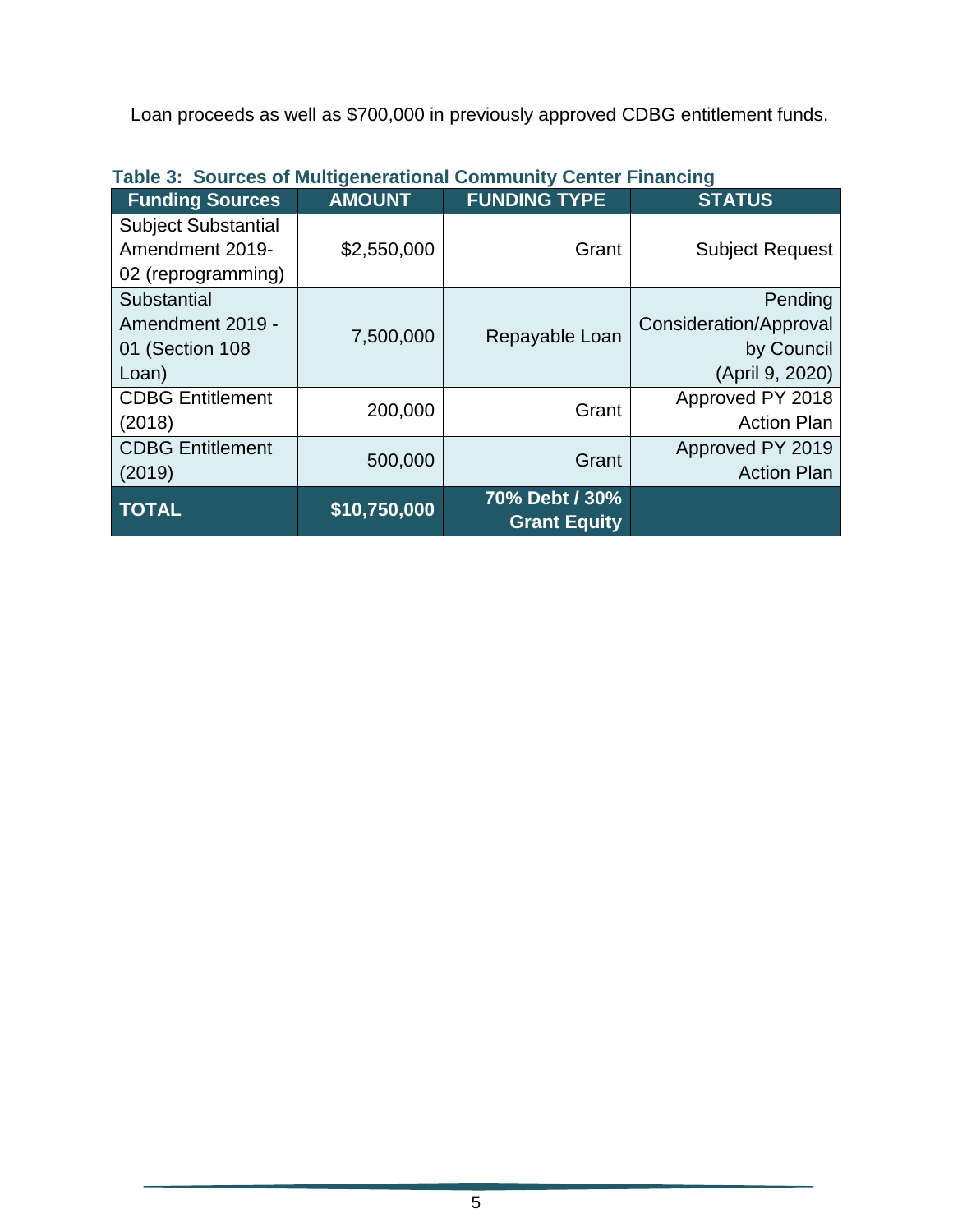Loan proceeds as well as \$700,000 in previously approved CDBG entitlement funds.

| <b>Funding Sources</b>     | <b>AMOUNT</b> | <b>FUNDING TYPE</b>                   | <b>STATUS</b>          |
|----------------------------|---------------|---------------------------------------|------------------------|
| <b>Subject Substantial</b> |               |                                       |                        |
| Amendment 2019-            | \$2,550,000   | Grant                                 | <b>Subject Request</b> |
| 02 (reprogramming)         |               |                                       |                        |
| Substantial                |               |                                       | Pending                |
| Amendment 2019 -           | 7,500,000     | Repayable Loan                        | Consideration/Approval |
| 01 (Section 108            |               |                                       | by Council             |
| Loan)                      |               |                                       | (April 9, 2020)        |
| <b>CDBG Entitlement</b>    | 200,000       | Grant                                 | Approved PY 2018       |
| (2018)                     |               |                                       | <b>Action Plan</b>     |
| <b>CDBG Entitlement</b>    | 500,000       | Grant                                 | Approved PY 2019       |
| (2019)                     |               |                                       | <b>Action Plan</b>     |
| <b>TOTAL</b>               | \$10,750,000  | 70% Debt / 30%<br><b>Grant Equity</b> |                        |

## **Table 3: Sources of Multigenerational Community Center Financing**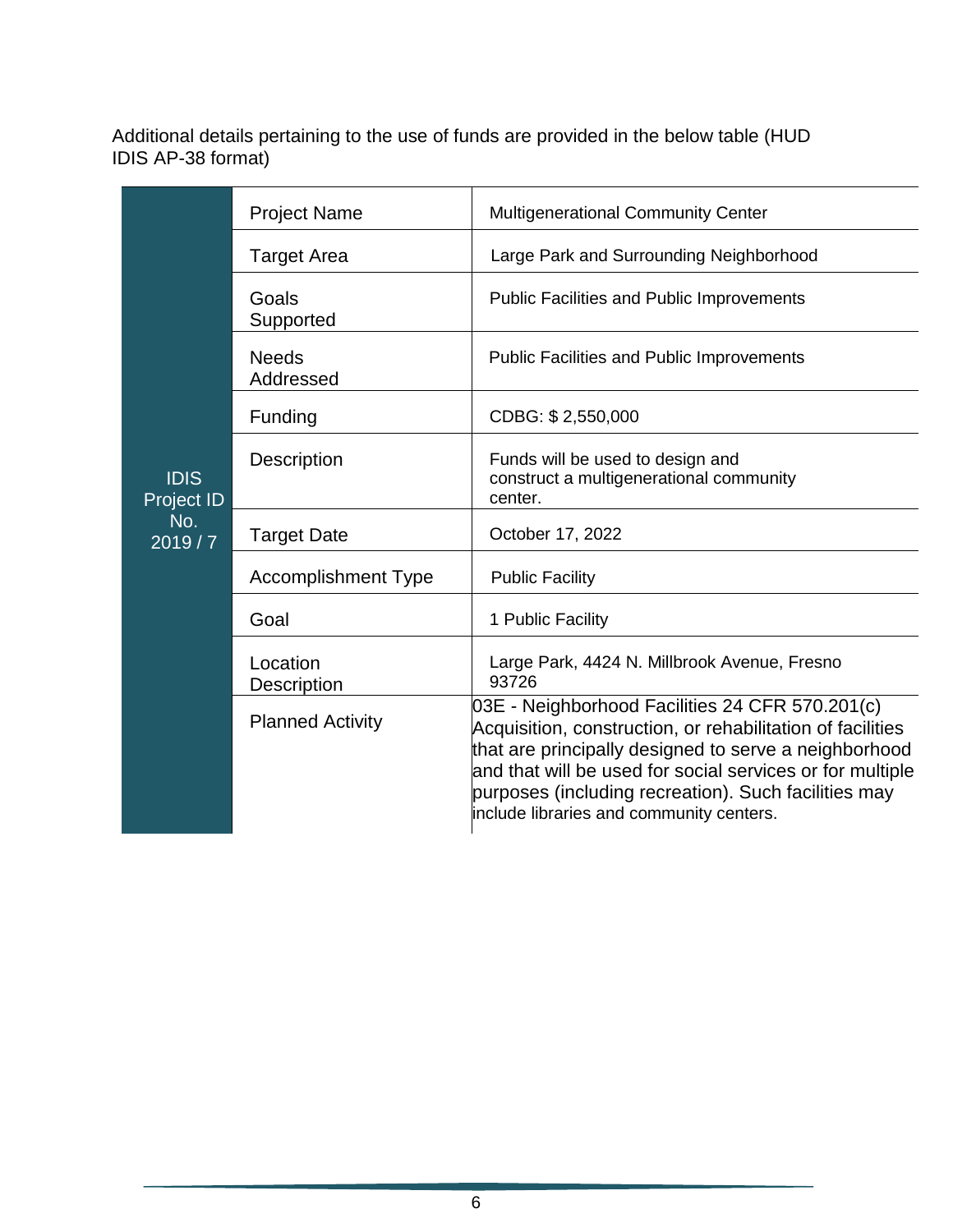Additional details pertaining to the use of funds are provided in the below table (HUD IDIS AP-38 format)

|                                                   | <b>Project Name</b>        | <b>Multigenerational Community Center</b>                                                                                                                                                                                                                                                                                               |
|---------------------------------------------------|----------------------------|-----------------------------------------------------------------------------------------------------------------------------------------------------------------------------------------------------------------------------------------------------------------------------------------------------------------------------------------|
|                                                   | <b>Target Area</b>         | Large Park and Surrounding Neighborhood                                                                                                                                                                                                                                                                                                 |
|                                                   | Goals<br>Supported         | <b>Public Facilities and Public Improvements</b>                                                                                                                                                                                                                                                                                        |
|                                                   | <b>Needs</b><br>Addressed  | <b>Public Facilities and Public Improvements</b>                                                                                                                                                                                                                                                                                        |
|                                                   | Funding                    | CDBG: \$2,550,000                                                                                                                                                                                                                                                                                                                       |
| <b>IDIS</b><br><b>Project ID</b><br>No.<br>2019/7 | <b>Description</b>         | Funds will be used to design and<br>construct a multigenerational community<br>center.                                                                                                                                                                                                                                                  |
|                                                   | <b>Target Date</b>         | October 17, 2022                                                                                                                                                                                                                                                                                                                        |
|                                                   | <b>Accomplishment Type</b> | <b>Public Facility</b>                                                                                                                                                                                                                                                                                                                  |
|                                                   | Goal                       | 1 Public Facility                                                                                                                                                                                                                                                                                                                       |
|                                                   | Location<br>Description    | Large Park, 4424 N. Millbrook Avenue, Fresno<br>93726                                                                                                                                                                                                                                                                                   |
|                                                   | <b>Planned Activity</b>    | 03E - Neighborhood Facilities 24 CFR 570.201(c)<br>Acquisition, construction, or rehabilitation of facilities<br>that are principally designed to serve a neighborhood<br>and that will be used for social services or for multiple<br>purposes (including recreation). Such facilities may<br>include libraries and community centers. |